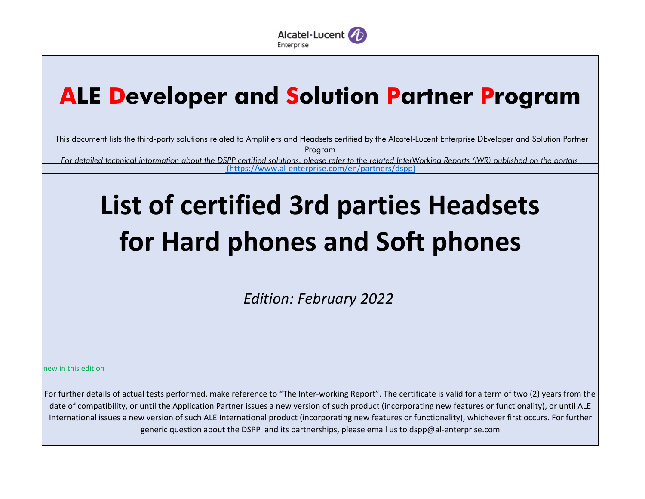

## **ALE Developer and Solution Partner Program**

This document lists the third-party solutions related to Amplifiers and Headsets certified by the Alcatel-Lucent Enterprise DEveloper and Solution Partner Program

*For detailed technical information about the DSPP certified solutions, please refer to the related InterWorking Reports (IWR) published on the portals*(https://www.al-enterprise.com/en/partners/dspp)

## **List of certified 3rd parties Headsets for Hard phones and Soft phones**

*Edition: February 2022*

new in this edition

For further details of actual tests performed, make reference to "The Inter-working Report". The certificate is valid for a term of two (2) years from the date of compatibility, or until the Application Partner issues a new version of such product (incorporating new features or functionality), or until ALE International issues a new version of such ALE International product (incorporating new features or functionality), whichever first occurs. For further generic question about the DSPP and its partnerships, please email us to dspp@al-enterprise.com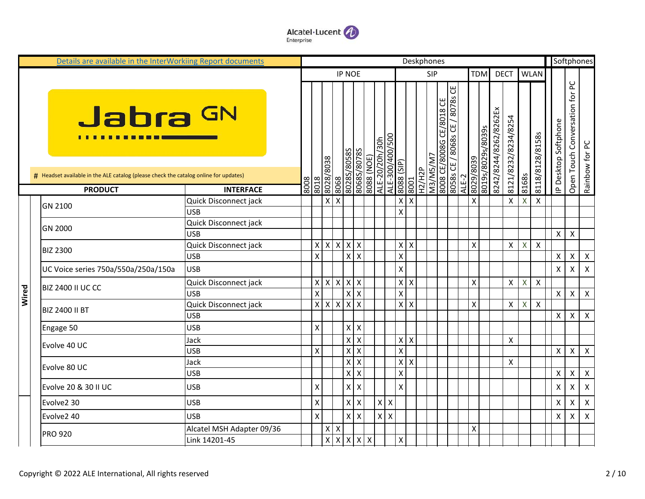

|       | Details are available in the InterWorkiing Report documents                                                 |                           |      |                           |                          |                           |                                                 |            |                |                 |                           |                           | Deskphones    |                          |                                  |       |                 |                   |                       |                     |                           |                    |                      |                                | Softphones                |
|-------|-------------------------------------------------------------------------------------------------------------|---------------------------|------|---------------------------|--------------------------|---------------------------|-------------------------------------------------|------------|----------------|-----------------|---------------------------|---------------------------|---------------|--------------------------|----------------------------------|-------|-----------------|-------------------|-----------------------|---------------------|---------------------------|--------------------|----------------------|--------------------------------|---------------------------|
|       |                                                                                                             |                           |      |                           |                          |                           | <b>IP NOE</b>                                   |            |                |                 |                           |                           |               | <b>SIP</b>               |                                  |       | <b>TDM</b>      |                   | <b>DECT</b>           |                     |                           | <b>WLAN</b>        |                      |                                |                           |
|       | Jabra <sup>GN</sup><br># Headset available in the ALE catalog (please check the catalog online for updates) |                           |      |                           | 8608/8708                | S8508/S8708<br>8908       | S8/08/S8908                                     | 8088 (NOE) | ALE-20/20h/30h | ALE-300/400/500 | (dIS) 8808                |                           | W/SW/EN       | 8008 CE/8008G CE/8018 CE | ෪<br>80585 CE / 80685 CE / 80785 |       | 6208/6708       | 8019s/8029s/8039s | 8242/8244/8262/8262Ex | 8121/8232/8234/8254 |                           | 8118/8128/8158s    | IP Desktop Softphone | Open Touch Conversation for PC | Rainbow for PC            |
|       | <b>PRODUCT</b>                                                                                              | <b>INTERFACE</b>          | 8008 | 8018                      |                          |                           |                                                 |            |                |                 |                           | 8001                      | <b>H2/H2P</b> |                          |                                  | ALE-2 |                 |                   |                       |                     | 8168s                     |                    |                      |                                |                           |
|       |                                                                                                             | Quick Disconnect jack     |      |                           | $\mathsf{X}$             | $\boldsymbol{\mathsf{X}}$ |                                                 |            |                |                 | $\boldsymbol{\mathsf{x}}$ | Χ                         |               |                          |                                  |       | Χ               |                   |                       | X                   | $\pmb{\mathsf{X}}$        | X                  |                      |                                |                           |
|       | GN 2100                                                                                                     | <b>USB</b>                |      |                           |                          |                           |                                                 |            |                |                 | $\pmb{\mathsf{X}}$        |                           |               |                          |                                  |       |                 |                   |                       |                     |                           |                    |                      |                                |                           |
|       |                                                                                                             | Quick Disconnect jack     |      |                           |                          |                           |                                                 |            |                |                 |                           |                           |               |                          |                                  |       |                 |                   |                       |                     |                           |                    |                      |                                |                           |
|       | GN 2000                                                                                                     | <b>USB</b>                |      |                           |                          |                           |                                                 |            |                |                 |                           |                           |               |                          |                                  |       |                 |                   |                       |                     |                           |                    | X                    | X                              |                           |
|       | <b>BIZ 2300</b>                                                                                             | Quick Disconnect jack     |      | $\pmb{\mathsf{X}}$        | $\mathsf{X}$             |                           | $X$ $X$ $X$                                     |            |                |                 | $\mathsf{x}$              | $\pmb{\times}$            |               |                          |                                  |       | X               |                   |                       | X                   | $\mathsf{X}$              | $\pmb{\mathsf{X}}$ |                      |                                |                           |
|       |                                                                                                             | <b>USB</b>                |      | X                         |                          |                           | $X$ $X$                                         |            |                |                 | $\mathsf{X}$              |                           |               |                          |                                  |       |                 |                   |                       |                     |                           |                    | X                    | $\pmb{\times}$                 | $\boldsymbol{X}$          |
|       | UC Voice series 750a/550a/250a/150a                                                                         | <b>USB</b>                |      |                           |                          |                           |                                                 |            |                |                 | $\pmb{\mathsf{X}}$        |                           |               |                          |                                  |       |                 |                   |                       |                     |                           |                    | X                    | X                              | $\boldsymbol{\mathsf{X}}$ |
|       | <b>BIZ 2400 II UC CC</b>                                                                                    | Quick Disconnect jack     |      |                           | $x \mid x \mid x \mid x$ |                           |                                                 |            |                |                 | $\boldsymbol{\mathsf{X}}$ | $\mathsf{X}$              |               |                          |                                  |       | X               |                   |                       | X                   | $\boldsymbol{\mathsf{X}}$ | X                  |                      |                                |                           |
| Wired |                                                                                                             | <b>USB</b>                |      | $\mathsf{\chi}$           |                          |                           | $x \mid x$                                      |            |                |                 | $\pmb{\mathsf{X}}$        |                           |               |                          |                                  |       |                 |                   |                       |                     |                           |                    | $\pmb{\mathsf{X}}$   | $\pmb{\times}$                 | $\mathsf{X}$              |
|       | <b>BIZ 2400 II BT</b>                                                                                       | Quick Disconnect jack     |      | $\pmb{\chi}$              | $\mathsf{X}$             | $\mathsf{X}$              | $X$ X                                           |            |                |                 | $\mathbf{x}$              | $\boldsymbol{\mathsf{X}}$ |               |                          |                                  |       | $\mathsf{\chi}$ |                   |                       | X                   | $\mathsf{X}$              | $\mathsf{X}$       |                      |                                |                           |
|       |                                                                                                             | <b>USB</b>                |      |                           |                          |                           |                                                 |            |                |                 |                           |                           |               |                          |                                  |       |                 |                   |                       |                     |                           |                    | $\pmb{\mathsf{X}}$   | X                              | $\boldsymbol{\mathsf{X}}$ |
|       | Engage 50                                                                                                   | <b>USB</b>                |      | $\boldsymbol{\mathsf{X}}$ |                          |                           | $\mathsf X$<br>$\overline{\mathsf{x}}$          |            |                |                 |                           |                           |               |                          |                                  |       |                 |                   |                       |                     |                           |                    |                      |                                |                           |
|       | Evolve 40 UC                                                                                                | Jack                      |      |                           |                          |                           | $X$ $X$                                         |            |                |                 | $\mathsf{x}$              | $\pmb{\mathsf{X}}$        |               |                          |                                  |       |                 |                   |                       | $\pmb{\mathsf{X}}$  |                           |                    |                      |                                |                           |
|       |                                                                                                             | <b>USB</b>                |      | X                         |                          |                           | $x \overline{x}$                                |            |                |                 | $\pmb{\mathsf{X}}$        |                           |               |                          |                                  |       |                 |                   |                       |                     |                           |                    | X                    | $\pmb{\mathsf{X}}$             | $\mathsf{X}$              |
|       | Evolve 80 UC                                                                                                | Jack                      |      |                           |                          |                           | $X$ $X$                                         |            |                |                 | $\boldsymbol{\mathsf{x}}$ | $\pmb{\times}$            |               |                          |                                  |       |                 |                   |                       | $\pmb{\times}$      |                           |                    |                      |                                |                           |
|       |                                                                                                             | <b>USB</b>                |      |                           |                          |                           | $x \overline{x}$                                |            |                |                 | $\mathsf{X}$              |                           |               |                          |                                  |       |                 |                   |                       |                     |                           |                    | $\pmb{\mathsf{X}}$   | X                              | $\mathsf{X}$              |
|       | Evolve 20 & 30 II UC                                                                                        | <b>USB</b>                |      | X                         |                          |                           | $\mathsf X$<br>$\mathsf{X}$                     |            |                |                 | $\pmb{\mathsf{X}}$        |                           |               |                          |                                  |       |                 |                   |                       |                     |                           |                    | $\pmb{\mathsf{X}}$   | Χ                              | $\mathsf{X}$              |
|       | Evolve2 30                                                                                                  | <b>USB</b>                |      | $\boldsymbol{\mathsf{X}}$ |                          |                           | $\pmb{\mathsf{X}}$<br>$\boldsymbol{\mathsf{X}}$ |            |                | $X$ $X$         |                           |                           |               |                          |                                  |       |                 |                   |                       |                     |                           |                    | Χ                    | Χ                              | $\boldsymbol{\mathsf{X}}$ |
|       | Evolve2 40                                                                                                  | <b>USB</b>                |      | $\mathsf{\chi}$           |                          |                           | $\pmb{\mathsf{X}}$<br>$\overline{\mathsf{x}}$   |            |                | $X$ $X$         |                           |                           |               |                          |                                  |       |                 |                   |                       |                     |                           |                    | X                    | X                              | $\boldsymbol{\mathsf{x}}$ |
|       | <b>PRO 920</b>                                                                                              | Alcatel MSH Adapter 09/36 |      |                           | X                        | X                         |                                                 |            |                |                 |                           |                           |               |                          |                                  |       | X               |                   |                       |                     |                           |                    |                      |                                |                           |
|       |                                                                                                             | Link 14201-45             |      |                           | $\overline{\mathbf{x}}$  |                           | $x \mid x \mid x \mid x$                        |            |                |                 | $\boldsymbol{\mathsf{X}}$ |                           |               |                          |                                  |       |                 |                   |                       |                     |                           |                    |                      |                                |                           |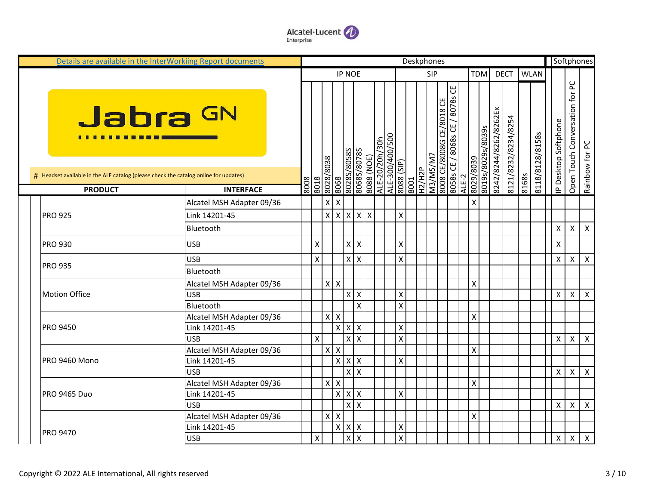

| Details are available in the InterWorkiing Report documents                          |                           |      |                    |                   |                               |                           |                           |                              |                 |                    | Deskphones            |            |                                                            |       |                    |                   |                       |                     |       |                 |                      | Softphones                                       |
|--------------------------------------------------------------------------------------|---------------------------|------|--------------------|-------------------|-------------------------------|---------------------------|---------------------------|------------------------------|-----------------|--------------------|-----------------------|------------|------------------------------------------------------------|-------|--------------------|-------------------|-----------------------|---------------------|-------|-----------------|----------------------|--------------------------------------------------|
|                                                                                      |                           |      |                    |                   |                               | <b>IP NOE</b>             |                           |                              |                 |                    |                       | <b>SIP</b> |                                                            |       | <b>TDM</b>         |                   |                       | <b>DECT</b>         |       | <b>WLAN</b>     |                      |                                                  |
| Jabra GN<br>. <b>.</b>                                                               |                           |      |                    | 8018<br>8028/8038 |                               | 80285/80585               | 80685/80785               | 8088 (NOE)<br>ALE-20/20h/30h | ALE-300/400/500 | (dlS) 8808         |                       | M3/M5/M7   | 8008 CE/8008G CE/8018 CE<br>8058s CE / 8068s CE / 8078s CE |       | 6208/6708          | 8019s/8029s/8039s | 8242/8244/8262/8262Ex | 8121/8232/8234/8254 |       | 8118/8128/8158s | IP Desktop Softphone | Open Touch Conversation for PC<br>Rainbow for PC |
| # Headset available in the ALE catalog (please check the catalog online for updates) |                           | 8008 |                    |                   | 8068                          |                           |                           |                              |                 |                    | <b>H2/H2P</b><br>8001 |            |                                                            | ALE-2 |                    |                   |                       |                     | 8168s |                 |                      |                                                  |
| <b>PRODUCT</b>                                                                       | <b>INTERFACE</b>          |      |                    |                   |                               |                           |                           |                              |                 |                    |                       |            |                                                            |       |                    |                   |                       |                     |       |                 |                      |                                                  |
|                                                                                      | Alcatel MSH Adapter 09/36 |      |                    | $x \mid x$        |                               |                           |                           |                              |                 |                    |                       |            |                                                            |       | X                  |                   |                       |                     |       |                 |                      |                                                  |
| <b>PRO 925</b>                                                                       | Link 14201-45             |      |                    | $X$ $X$ $X$       |                               |                           | $x \times$                |                              |                 | $\pmb{\mathsf{X}}$ |                       |            |                                                            |       |                    |                   |                       |                     |       |                 |                      |                                                  |
|                                                                                      | Bluetooth                 |      |                    |                   |                               |                           |                           |                              |                 |                    |                       |            |                                                            |       |                    |                   |                       |                     |       |                 | Χ                    | $\boldsymbol{\mathsf{X}}$<br>Χ                   |
| <b>PRO 930</b>                                                                       | <b>USB</b>                |      | Χ                  |                   |                               | $\mathsf{X}$              | $\boldsymbol{\mathsf{X}}$ |                              |                 | X                  |                       |            |                                                            |       |                    |                   |                       |                     |       |                 | X                    |                                                  |
|                                                                                      | <b>USB</b>                |      | $\mathsf{\chi}$    |                   |                               | $\mathsf{x}$              | l x                       |                              |                 | $\pmb{\mathsf{X}}$ |                       |            |                                                            |       |                    |                   |                       |                     |       |                 | X                    | $\boldsymbol{\mathsf{X}}$<br>X                   |
| <b>PRO 935</b>                                                                       | Bluetooth                 |      |                    |                   |                               |                           |                           |                              |                 |                    |                       |            |                                                            |       |                    |                   |                       |                     |       |                 |                      |                                                  |
|                                                                                      | Alcatel MSH Adapter 09/36 |      |                    | $X$ $X$           |                               |                           |                           |                              |                 |                    |                       |            |                                                            |       | X                  |                   |                       |                     |       |                 |                      |                                                  |
| <b>Motion Office</b>                                                                 | <b>USB</b>                |      |                    |                   |                               | X                         | $\boldsymbol{\mathsf{X}}$ |                              |                 | $\pmb{\mathsf{X}}$ |                       |            |                                                            |       |                    |                   |                       |                     |       |                 | X                    | X<br>$\boldsymbol{\mathsf{X}}$                   |
|                                                                                      | Bluetooth                 |      |                    |                   |                               |                           | X                         |                              |                 | $\pmb{\times}$     |                       |            |                                                            |       |                    |                   |                       |                     |       |                 |                      |                                                  |
|                                                                                      | Alcatel MSH Adapter 09/36 |      |                    | $x \mid x$        |                               |                           |                           |                              |                 |                    |                       |            |                                                            |       | X                  |                   |                       |                     |       |                 |                      |                                                  |
| <b>PRO 9450</b>                                                                      | Link 14201-45             |      |                    |                   | x                             | $\boldsymbol{\mathsf{X}}$ | $\boldsymbol{\mathsf{X}}$ |                              |                 | $\pmb{\mathsf{X}}$ |                       |            |                                                            |       |                    |                   |                       |                     |       |                 |                      |                                                  |
|                                                                                      | <b>USB</b>                |      | $\pmb{\mathsf{X}}$ |                   |                               | X                         | $\mathsf{X}$              |                              |                 | $\pmb{\times}$     |                       |            |                                                            |       |                    |                   |                       |                     |       |                 | X                    | X<br>$\mathsf{X}$                                |
|                                                                                      | Alcatel MSH Adapter 09/36 |      |                    | $X$ $X$           |                               |                           |                           |                              |                 |                    |                       |            |                                                            |       | $\mathsf{\chi}$    |                   |                       |                     |       |                 |                      |                                                  |
| <b>PRO 9460 Mono</b>                                                                 | Link 14201-45             |      |                    |                   | $\overline{X}$ $\overline{X}$ |                           | $\mathsf{X}$              |                              |                 | $\pmb{\mathsf{X}}$ |                       |            |                                                            |       |                    |                   |                       |                     |       |                 |                      |                                                  |
|                                                                                      | <b>USB</b>                |      |                    |                   |                               | $\mathsf{\chi}$           | $\mathsf{x}$              |                              |                 |                    |                       |            |                                                            |       |                    |                   |                       |                     |       |                 | $\pmb{\times}$       | $\mathsf{X}$<br>X                                |
|                                                                                      | Alcatel MSH Adapter 09/36 |      |                    | $X$ $X$           |                               |                           |                           |                              |                 |                    |                       |            |                                                            |       | X                  |                   |                       |                     |       |                 |                      |                                                  |
| <b>PRO 9465 Duo</b>                                                                  | Link 14201-45             |      |                    |                   | x                             | X                         | $\boldsymbol{\mathsf{X}}$ |                              |                 | $\pmb{\mathsf{X}}$ |                       |            |                                                            |       |                    |                   |                       |                     |       |                 |                      |                                                  |
|                                                                                      | <b>USB</b>                |      |                    |                   |                               | X                         | $\boldsymbol{\mathsf{X}}$ |                              |                 |                    |                       |            |                                                            |       |                    |                   |                       |                     |       |                 | X                    | X<br>$\boldsymbol{\mathsf{X}}$                   |
|                                                                                      | Alcatel MSH Adapter 09/36 |      |                    | $X$ $X$           |                               |                           |                           |                              |                 |                    |                       |            |                                                            |       | $\pmb{\mathsf{X}}$ |                   |                       |                     |       |                 |                      |                                                  |
| <b>PRO 9470</b>                                                                      | Link 14201-45             |      |                    |                   | x                             | $\boldsymbol{\mathsf{x}}$ | $\boldsymbol{\mathsf{X}}$ |                              |                 | X                  |                       |            |                                                            |       |                    |                   |                       |                     |       |                 |                      |                                                  |
|                                                                                      | <b>USB</b>                |      | X                  |                   |                               | X                         | $\mathsf{X}$              |                              |                 | $\pmb{\mathsf{X}}$ |                       |            |                                                            |       |                    |                   |                       |                     |       |                 | $\pmb{\times}$       | X<br>$\mathsf{X}$                                |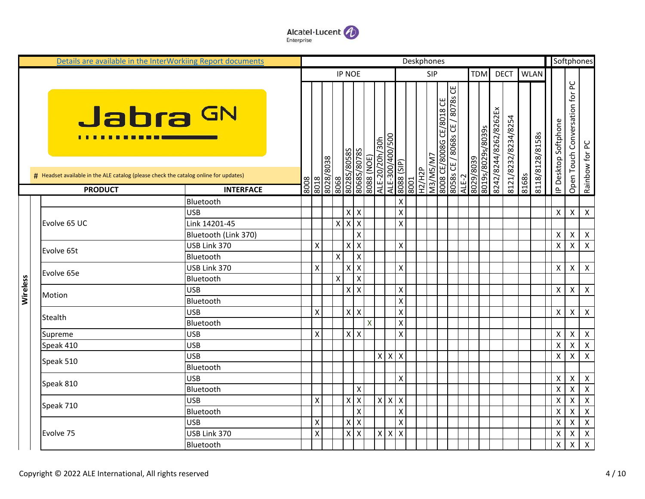

|          | Details are available in the InterWorkiing Report documents                          |                      |      |                         |              |                           |                           |              |                |                 |                           | Deskphones    |                 |                          |                                |       |                   |                       |                     |       |                 |                      |                                | Softphones                |
|----------|--------------------------------------------------------------------------------------|----------------------|------|-------------------------|--------------|---------------------------|---------------------------|--------------|----------------|-----------------|---------------------------|---------------|-----------------|--------------------------|--------------------------------|-------|-------------------|-----------------------|---------------------|-------|-----------------|----------------------|--------------------------------|---------------------------|
|          |                                                                                      |                      |      |                         |              | <b>IP NOE</b>             |                           |              |                |                 |                           |               | <b>SIP</b>      |                          |                                |       | <b>TDM</b>        |                       | <b>DECT</b>         |       | <b>WLAN</b>     |                      |                                |                           |
|          |                                                                                      |                      |      |                         |              |                           |                           |              |                |                 |                           |               |                 |                          |                                |       |                   |                       |                     |       |                 |                      |                                |                           |
|          | Jabra GN<br><u>.</u>                                                                 |                      |      |                         |              | 80285/80585               | 8068\80785                | 8088 (NOE)   | ALE-20/20h/30h | ALE-300/400/500 |                           |               | <b>M3/M5/M7</b> | 8008 CE/8008G CE/8018 CE | 8058s CE / 8068s CE / 8078s CE |       | 8019s/8029s/8039s | 8242/8244/8262/8262Ex | 8121/8232/8234/8254 |       | 8118/8128/8158s | IP Desktop Softphone | Open Touch Conversation for PC | Rainbow for PC            |
|          | # Headset available in the ALE catalog (please check the catalog online for updates) |                      |      |                         | 8608/8708    |                           |                           |              |                |                 | (dIS) 8808                | <b>H2/H2P</b> |                 |                          |                                |       | 8029/8039         |                       |                     | 8168s |                 |                      |                                |                           |
|          | <b>PRODUCT</b>                                                                       | <b>INTERFACE</b>     | 8008 | 8018                    | 8068         |                           |                           |              |                |                 | 8001                      |               |                 |                          |                                | ALE-2 |                   |                       |                     |       |                 |                      |                                |                           |
|          |                                                                                      | Bluetooth            |      |                         |              |                           |                           |              |                |                 | $\boldsymbol{\mathsf{X}}$ |               |                 |                          |                                |       |                   |                       |                     |       |                 |                      |                                |                           |
|          |                                                                                      | <b>USB</b>           |      |                         |              | Χ                         | $\mathsf{X}$              |              |                |                 | $\boldsymbol{\mathsf{X}}$ |               |                 |                          |                                |       |                   |                       |                     |       |                 | Χ                    | $\pmb{\mathsf{X}}$             | $\pmb{\times}$            |
|          | Evolve 65 UC                                                                         | Link 14201-45        |      |                         | $\mathsf{x}$ | $\boldsymbol{\mathsf{X}}$ | $\boldsymbol{\mathsf{x}}$ |              |                |                 | $\boldsymbol{\mathsf{X}}$ |               |                 |                          |                                |       |                   |                       |                     |       |                 |                      |                                |                           |
|          |                                                                                      | Bluetooth (Link 370) |      |                         |              |                           | Χ                         |              |                |                 |                           |               |                 |                          |                                |       |                   |                       |                     |       |                 | Χ                    | X                              | $\boldsymbol{\mathsf{X}}$ |
|          | Evolve 65t                                                                           | USB Link 370         |      | $\pmb{\mathsf{X}}$      |              | X                         | $\boldsymbol{\mathsf{X}}$ |              |                |                 | $\boldsymbol{\mathsf{X}}$ |               |                 |                          |                                |       |                   |                       |                     |       |                 | Χ                    | $\pmb{\mathsf{X}}$             | $\pmb{\times}$            |
|          |                                                                                      | Bluetooth            |      |                         | X            |                           | $\mathsf{X}$              |              |                |                 |                           |               |                 |                          |                                |       |                   |                       |                     |       |                 |                      |                                |                           |
|          | Evolve 65e                                                                           | USB Link 370         |      | $\pmb{\times}$          |              | X                         | $\boldsymbol{\mathsf{X}}$ |              |                |                 | $\boldsymbol{\mathsf{X}}$ |               |                 |                          |                                |       |                   |                       |                     |       |                 | Χ                    | X                              | $\boldsymbol{\mathsf{X}}$ |
| Wireless |                                                                                      | Bluetooth            |      |                         | X            |                           | Χ                         |              |                |                 |                           |               |                 |                          |                                |       |                   |                       |                     |       |                 |                      |                                |                           |
|          | Motion                                                                               | <b>USB</b>           |      |                         |              | X                         | $\mathsf{X}$              |              |                |                 | $\boldsymbol{\mathsf{X}}$ |               |                 |                          |                                |       |                   |                       |                     |       |                 | X                    | X                              | $\boldsymbol{\mathsf{X}}$ |
|          |                                                                                      | Bluetooth            |      |                         |              |                           |                           |              |                |                 | $\mathsf{X}$              |               |                 |                          |                                |       |                   |                       |                     |       |                 |                      |                                |                           |
|          | Stealth                                                                              | <b>USB</b>           |      | $\pmb{\mathsf{X}}$      |              |                           | $X$ $X$                   |              |                |                 | $\boldsymbol{\mathsf{X}}$ |               |                 |                          |                                |       |                   |                       |                     |       |                 | $\pmb{\times}$       | X                              | $\mathsf{X}$              |
|          |                                                                                      | Bluetooth            |      |                         |              |                           |                           | $\mathsf{X}$ |                |                 | $\mathsf{X}$              |               |                 |                          |                                |       |                   |                       |                     |       |                 |                      |                                |                           |
|          | Supreme                                                                              | <b>USB</b>           |      | $\mathsf{x}$            |              |                           | $x \mid x$                |              |                |                 | $\mathsf{X}$              |               |                 |                          |                                |       |                   |                       |                     |       |                 | $\pmb{\times}$       | $\boldsymbol{\mathsf{X}}$      | $\mathsf{X}$              |
|          | Speak 410                                                                            | <b>USB</b>           |      |                         |              |                           |                           |              |                |                 |                           |               |                 |                          |                                |       |                   |                       |                     |       |                 | $\pmb{\times}$       | $\pmb{\mathsf{X}}$             | $\pmb{\times}$            |
|          | Speak 510                                                                            | <b>USB</b>           |      |                         |              |                           |                           |              | $X$ $X$        |                 | $\mathsf{X}$              |               |                 |                          |                                |       |                   |                       |                     |       |                 | $\pmb{\mathsf{X}}$   | X                              | $\mathsf{X}$              |
|          |                                                                                      | Bluetooth            |      |                         |              |                           |                           |              |                |                 |                           |               |                 |                          |                                |       |                   |                       |                     |       |                 |                      |                                |                           |
|          | Speak 810                                                                            | <b>USB</b>           |      |                         |              |                           |                           |              |                |                 | $\boldsymbol{\mathsf{X}}$ |               |                 |                          |                                |       |                   |                       |                     |       |                 | χ                    | X                              | $\pmb{\times}$            |
|          |                                                                                      | Bluetooth            |      |                         |              |                           | Χ                         |              |                |                 |                           |               |                 |                          |                                |       |                   |                       |                     |       |                 | X                    | X                              | $\pmb{\times}$            |
|          | Speak 710                                                                            | USB                  |      | X                       |              | Χ                         | X                         |              | $x \mid x$     |                 | $\mathsf{X}$              |               |                 |                          |                                |       |                   |                       |                     |       |                 | x                    | X                              | $\boldsymbol{\mathsf{X}}$ |
|          |                                                                                      | Bluetooth            |      |                         |              |                           | $\pmb{\mathsf{X}}$        |              |                |                 | $\boldsymbol{\mathsf{X}}$ |               |                 |                          |                                |       |                   |                       |                     |       |                 | X                    | Χ                              | $\boldsymbol{\mathsf{X}}$ |
|          |                                                                                      | <b>USB</b>           |      | $\pmb{\times}$          |              | Χ                         | $\pmb{\times}$            |              |                |                 | $\boldsymbol{\mathsf{X}}$ |               |                 |                          |                                |       |                   |                       |                     |       |                 | X                    | X                              | $\boldsymbol{X}$          |
|          | Evolve 75                                                                            | USB Link 370         |      | $\mathsf{\overline{X}}$ |              | $\pmb{\mathsf{X}}$        | $\mathsf{X}$              |              | $x \mid x$     |                 | $\mathsf{X}$              |               |                 |                          |                                |       |                   |                       |                     |       |                 | X                    | X                              | $\boldsymbol{X}$          |
|          |                                                                                      | Bluetooth            |      |                         |              |                           |                           |              |                |                 |                           |               |                 |                          |                                |       |                   |                       |                     |       |                 | Χ                    | $\pmb{\mathsf{X}}$             | $\boldsymbol{\mathsf{X}}$ |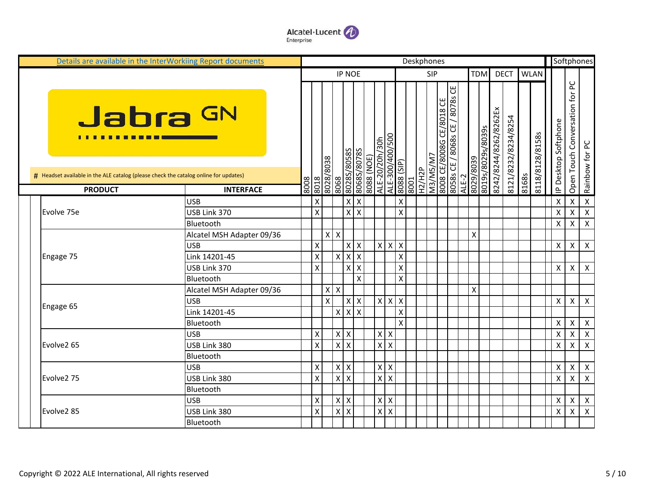

| Details are available in the InterWorkiing Report documents                                            |                           |      |                           |                           |                    |                         |            |                         |                           |                           | Deskphones    |            |                          |                                |                    |                   |                       |                     |       |                 |                           |                                | Softphones              |
|--------------------------------------------------------------------------------------------------------|---------------------------|------|---------------------------|---------------------------|--------------------|-------------------------|------------|-------------------------|---------------------------|---------------------------|---------------|------------|--------------------------|--------------------------------|--------------------|-------------------|-----------------------|---------------------|-------|-----------------|---------------------------|--------------------------------|-------------------------|
|                                                                                                        |                           |      |                           |                           | <b>IP NOE</b>      |                         |            |                         |                           |                           |               | <b>SIP</b> |                          |                                |                    | <b>TDM</b>        |                       | <b>DECT</b>         |       | <b>WLAN</b>     |                           |                                |                         |
| Jabra GN                                                                                               |                           |      |                           |                           | S8508/S8Z08        | 80685/80785             |            | ALE-20/20h/30h          | ALE-300/400/500           |                           |               |            | 8008 CE/8008G CE/8018 CE | 8058s CE / 8068s CE / 8078s CE |                    | 8019s/8029s/8039s | 8242/8244/8262/8262Ex | 8121/8232/8234/8254 |       | 8118/8128/8158s | IP Desktop Softphone      | Open Touch Conversation for PC | Rainbow for PC          |
| # Headset available in the ALE catalog (please check the catalog online for updates)<br><b>PRODUCT</b> | <b>INTERFACE</b>          | 8008 | 8018                      | 8608/8708<br>8068         |                    |                         | (SON) 8808 |                         |                           | (dIS) 8808<br>8001        | <b>H2/H2P</b> | W/SW/EW    |                          |                                | 8029/8039<br>ALE-2 |                   |                       |                     | 8168s |                 |                           |                                |                         |
|                                                                                                        | <b>USB</b>                |      | $\boldsymbol{\mathsf{X}}$ |                           | $\pmb{\mathsf{X}}$ | <b>X</b>                |            |                         |                           | X                         |               |            |                          |                                |                    |                   |                       |                     |       |                 | X                         | $\pmb{\mathsf{X}}$             | $\mathsf{X}$            |
| Evolve 75e                                                                                             | USB Link 370              |      | $\mathsf{\chi}$           |                           | $\pmb{\times}$     | l x                     |            |                         |                           | $\mathsf{x}$              |               |            |                          |                                |                    |                   |                       |                     |       |                 | X                         | $\mathsf{X}$                   | $\mathsf{X}$            |
|                                                                                                        | Bluetooth                 |      |                           |                           |                    |                         |            |                         |                           |                           |               |            |                          |                                |                    |                   |                       |                     |       |                 | Χ                         | X                              | $\mathsf{X}$            |
|                                                                                                        | Alcatel MSH Adapter 09/36 |      |                           | $x \mid x$                |                    |                         |            |                         |                           |                           |               |            |                          |                                | X                  |                   |                       |                     |       |                 |                           |                                |                         |
|                                                                                                        | <b>USB</b>                |      | $\boldsymbol{\mathsf{X}}$ |                           | X                  | $\mathsf{X}$            |            | $\mathsf{X}$            | $\boldsymbol{\mathsf{X}}$ | $\boldsymbol{\mathsf{X}}$ |               |            |                          |                                |                    |                   |                       |                     |       |                 | X                         | X                              | $\mathsf{X}$            |
| Engage 75                                                                                              | Link 14201-45             |      | $\boldsymbol{\mathsf{X}}$ |                           | $X$ $X$            | $\overline{\mathsf{x}}$ |            |                         |                           | $\pmb{\mathsf{X}}$        |               |            |                          |                                |                    |                   |                       |                     |       |                 |                           |                                |                         |
|                                                                                                        | USB Link 370              |      | $\mathsf{\chi}$           |                           |                    | $x \mid x$              |            |                         |                           | $\mathsf{\chi}$           |               |            |                          |                                |                    |                   |                       |                     |       |                 | $\boldsymbol{\mathsf{X}}$ | $\boldsymbol{\mathsf{X}}$      | $\mathsf{X}$            |
|                                                                                                        | Bluetooth                 |      |                           |                           |                    | X                       |            |                         |                           | $\pmb{\mathsf{X}}$        |               |            |                          |                                |                    |                   |                       |                     |       |                 |                           |                                |                         |
|                                                                                                        | Alcatel MSH Adapter 09/36 |      |                           | $\mathsf{X}$<br>X         |                    |                         |            |                         |                           |                           |               |            |                          |                                | X                  |                   |                       |                     |       |                 |                           |                                |                         |
|                                                                                                        | <b>USB</b>                |      |                           | $\boldsymbol{\mathsf{x}}$ | $\pmb{\chi}$       | $\mathsf{X}$            |            | $X$ $X$                 |                           | $\mathsf{X}$              |               |            |                          |                                |                    |                   |                       |                     |       |                 | X                         | X                              | $\mathsf{X}$            |
| Engage 65                                                                                              | Link 14201-45             |      |                           |                           | $x \mid x$         | $\overline{\mathsf{x}}$ |            |                         |                           | $\pmb{\mathsf{X}}$        |               |            |                          |                                |                    |                   |                       |                     |       |                 |                           |                                |                         |
|                                                                                                        | Bluetooth                 |      |                           |                           |                    |                         |            |                         |                           | $\mathsf{X}$              |               |            |                          |                                |                    |                   |                       |                     |       |                 | $\boldsymbol{\mathsf{X}}$ | $\boldsymbol{\mathsf{X}}$      | $\mathsf{X}$            |
|                                                                                                        | <b>USB</b>                |      | X                         |                           | $x \mid x$         |                         |            | x                       | $\boldsymbol{\mathsf{X}}$ |                           |               |            |                          |                                |                    |                   |                       |                     |       |                 | X                         | $\pmb{\times}$                 | $\boldsymbol{X}$        |
| Evolve2 65                                                                                             | USB Link 380              |      | X                         |                           | x x                |                         |            | $\overline{\mathsf{x}}$ | $\times$                  |                           |               |            |                          |                                |                    |                   |                       |                     |       |                 | X                         | Χ                              | $\overline{\mathbf{x}}$ |
|                                                                                                        | Bluetooth                 |      |                           |                           |                    |                         |            |                         |                           |                           |               |            |                          |                                |                    |                   |                       |                     |       |                 |                           |                                |                         |
|                                                                                                        | <b>USB</b>                |      | $\boldsymbol{\mathsf{X}}$ |                           | $x \mid x$         |                         |            | $\mathsf{x}$            | X                         |                           |               |            |                          |                                |                    |                   |                       |                     |       |                 | Χ                         | X                              | $\boldsymbol{X}$        |
| Evolve2 75                                                                                             | USB Link 380              |      | $\mathsf{\chi}$           |                           | $X$ $X$            |                         |            | $x \overline{x}$        |                           |                           |               |            |                          |                                |                    |                   |                       |                     |       |                 | $\boldsymbol{\mathsf{X}}$ | $\mathsf{X}$                   | $\overline{X}$          |
|                                                                                                        | Bluetooth                 |      |                           |                           |                    |                         |            |                         |                           |                           |               |            |                          |                                |                    |                   |                       |                     |       |                 |                           |                                |                         |
|                                                                                                        | <b>USB</b>                |      | X                         |                           | $x \mid x$         |                         |            | $\mathsf{X}$            | X                         |                           |               |            |                          |                                |                    |                   |                       |                     |       |                 | X                         | $\pmb{\times}$                 | $\boldsymbol{X}$        |
| Evolve2 85                                                                                             | USB Link 380              |      | $\boldsymbol{\mathsf{X}}$ |                           | $x \mid x$         |                         |            | $x \mid x$              |                           |                           |               |            |                          |                                |                    |                   |                       |                     |       |                 | X                         | X                              | $\mathsf{X}$            |
|                                                                                                        | Bluetooth                 |      |                           |                           |                    |                         |            |                         |                           |                           |               |            |                          |                                |                    |                   |                       |                     |       |                 |                           |                                |                         |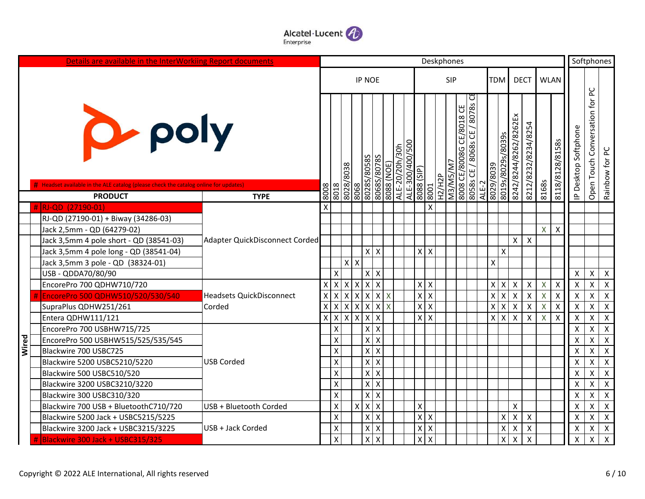

|       | Details are available in the InterWorkiing Report documents                          |                                 |                    |                                |                           |                           |                           |                              |                 |                    |                           |        | Deskphones                              |                     |       |                                                        |                           |                           |                           |                           |                           | Softphones                        |                           |
|-------|--------------------------------------------------------------------------------------|---------------------------------|--------------------|--------------------------------|---------------------------|---------------------------|---------------------------|------------------------------|-----------------|--------------------|---------------------------|--------|-----------------------------------------|---------------------|-------|--------------------------------------------------------|---------------------------|---------------------------|---------------------------|---------------------------|---------------------------|-----------------------------------|---------------------------|
|       |                                                                                      |                                 |                    |                                |                           | <b>IP NOE</b>             |                           |                              |                 |                    |                           |        | <b>SIP</b>                              |                     |       | <b>TDM</b>                                             |                           | <b>DECT</b>               |                           | <b>WLAN</b>               |                           |                                   |                           |
|       |                                                                                      |                                 |                    |                                |                           |                           |                           |                              |                 |                    |                           |        |                                         |                     |       |                                                        |                           |                           |                           |                           |                           |                                   |                           |
|       | <b>D</b> -poly                                                                       |                                 |                    | 8608/8708                      |                           | 8028S/8058S               | S8Z08/S8908               | ALE-20/20h/30h<br>8088 (NOE) | ALE-300/400/500 | (dIS) 8808         |                           |        | ပြ<br>8008 CE/8008G CE/8018<br>M3/M5/M7 | /8078sC<br>8068s CE |       | 8019s/8029s/8039s<br>8029/8039                         | 8242/8244/8262/8262Ex     | 8212/8232/8234/8254       |                           | 8118/8128/8158s           | P Desktop Softphone       | Conversation for PC<br>Open Touch | Rainbow for PC            |
|       | # Headset available in the ALE catalog (please check the catalog online for updates) |                                 | 8008               | 8018                           | 8068                      |                           |                           |                              |                 |                    | 8001                      | H2/H2P |                                         | 8058s CE            | ALE-2 |                                                        |                           |                           | 8168s                     |                           |                           |                                   |                           |
|       | <b>PRODUCT</b><br># RJ-QD (27190-01)                                                 | <b>TYPE</b>                     | X                  |                                |                           |                           |                           |                              |                 |                    | $\boldsymbol{\mathsf{X}}$ |        |                                         |                     |       |                                                        |                           |                           |                           |                           |                           |                                   |                           |
|       | RJ-QD (27190-01) + Biway (34286-03)                                                  |                                 |                    |                                |                           |                           |                           |                              |                 |                    |                           |        |                                         |                     |       |                                                        |                           |                           |                           |                           |                           |                                   |                           |
|       | Jack 2,5mm - QD (64279-02)                                                           |                                 |                    |                                |                           |                           |                           |                              |                 |                    |                           |        |                                         |                     |       |                                                        |                           |                           | X                         | $\boldsymbol{\mathsf{X}}$ |                           |                                   |                           |
|       | Jack 3,5mm 4 pole short - QD (38541-03)                                              | Adapter QuickDisconnect Corded  |                    |                                |                           |                           |                           |                              |                 |                    |                           |        |                                         |                     |       |                                                        | $\mathsf{X}^-$            | $\boldsymbol{\mathsf{X}}$ |                           |                           |                           |                                   |                           |
|       | Jack 3,5mm 4 pole long - QD (38541-04)                                               |                                 |                    |                                |                           |                           | $x \mid x$                |                              |                 | $X$ $X$            |                           |        |                                         |                     |       | $\boldsymbol{\mathsf{x}}$                              |                           |                           |                           |                           |                           |                                   |                           |
|       | Jack 3,5mm 3 pole - QD (38324-01)                                                    |                                 |                    |                                | $x \mid x$                |                           |                           |                              |                 |                    |                           |        |                                         |                     |       | X                                                      |                           |                           |                           |                           |                           |                                   |                           |
|       | USB - QDDA70/80/90                                                                   |                                 |                    | Χ                              |                           | $\pmb{\mathsf{X}}$        | $\pmb{\times}$            |                              |                 |                    |                           |        |                                         |                     |       |                                                        |                           |                           |                           |                           | $\boldsymbol{\mathsf{X}}$ | $\pmb{\times}$                    | $\boldsymbol{\mathsf{X}}$ |
|       | EncorePro 700 QDHW710/720                                                            |                                 | $X$ $X$            | $\mathsf{X}$                   | $\boldsymbol{\mathsf{X}}$ | $\boldsymbol{\mathsf{X}}$ | $\overline{\mathsf{x}}$   |                              |                 | $\mathsf X$        | l x                       |        |                                         |                     |       | $x \mid x$                                             | $\pmb{\times}$            | $\boldsymbol{\mathsf{X}}$ | $\boldsymbol{\mathsf{X}}$ | $\boldsymbol{\mathsf{X}}$ | $\boldsymbol{\mathsf{X}}$ | $\pmb{\mathsf{X}}$                | $\pmb{\times}$            |
|       | EncorePro 500 QDHW510/520/530/540                                                    | <b>Headsets QuickDisconnect</b> | $\mathsf X$        | $\boldsymbol{\mathsf{X}}$<br>X | $\mathsf X$               | $\boldsymbol{\mathsf{X}}$ | $\mathsf{X}$              | X                            |                 | $\mathsf X$        | $\mathsf{X}$              |        |                                         |                     |       | $\boldsymbol{\mathsf{x}}$<br>$\boldsymbol{\mathsf{X}}$ | $\pmb{\mathsf{X}}$        | $\mathsf{X}$              | $\mathsf{X}$              | $\boldsymbol{\mathsf{X}}$ | $\boldsymbol{\mathsf{X}}$ | Χ                                 | $\mathsf X$               |
|       | SupraPlus QDHW251/261                                                                | Corded                          | $\pmb{\mathsf{X}}$ | X<br>$\boldsymbol{\mathsf{X}}$ | $\boldsymbol{\mathsf{x}}$ | $\pmb{\mathsf{X}}$        | $\mathsf{X}$              | X                            |                 | $\pmb{\mathsf{X}}$ | $\mathsf{X}$              |        |                                         |                     |       | x<br>X                                                 | $\pmb{\mathsf{X}}$        | $\pmb{\times}$            | $\boldsymbol{\mathsf{X}}$ | $\boldsymbol{\mathsf{X}}$ | $\mathsf{\chi}$           | $\mathsf{x}$                      | $\overline{\mathbf{x}}$   |
|       | Entera QDHW111/121                                                                   |                                 | $x \mid x$         | Ιx                             | $\mathsf{x}$              | $\boldsymbol{\mathsf{X}}$ | X                         |                              |                 | $\mathsf X$        | $\overline{\mathsf{x}}$   |        |                                         |                     |       | x <sub>l</sub><br>$\boldsymbol{\mathsf{X}}$            | $\pmb{\times}$            | $\boldsymbol{\mathsf{X}}$ | $\times$                  | $\boldsymbol{\mathsf{x}}$ | X                         | Χ                                 | $\pmb{\times}$            |
|       | EncorePro 700 USBHW715/725                                                           |                                 |                    | X                              |                           | Χ                         | $\pmb{\times}$            |                              |                 |                    |                           |        |                                         |                     |       |                                                        |                           |                           |                           |                           | X                         | Χ                                 | $\boldsymbol{\mathsf{X}}$ |
| Wired | EncorePro 500 USBHW515/525/535/545                                                   |                                 |                    | X                              |                           | $\pmb{\mathsf{X}}$        | X                         |                              |                 |                    |                           |        |                                         |                     |       |                                                        |                           |                           |                           |                           | X                         | $\pmb{\mathsf{X}}$                | $\boldsymbol{\mathsf{X}}$ |
|       | Blackwire 700 USBC725                                                                |                                 |                    | $\mathsf{x}$                   |                           | $\pmb{\times}$            | $\pmb{\times}$            |                              |                 |                    |                           |        |                                         |                     |       |                                                        |                           |                           |                           |                           | X                         | Χ                                 | $\boldsymbol{\mathsf{X}}$ |
|       | Blackwire 5200 USBC5210/5220                                                         | <b>USB Corded</b>               |                    | X                              |                           | $\pmb{\mathsf{X}}$        | $\pmb{\mathsf{X}}$        |                              |                 |                    |                           |        |                                         |                     |       |                                                        |                           |                           |                           |                           | X                         | Χ                                 | $\pmb{\times}$            |
|       | Blackwire 500 USBC510/520                                                            |                                 |                    | X                              |                           | $\pmb{\times}$            | $\mathsf X$               |                              |                 |                    |                           |        |                                         |                     |       |                                                        |                           |                           |                           |                           | X                         | Χ                                 | $\boldsymbol{\mathsf{X}}$ |
|       | Blackwire 3200 USBC3210/3220                                                         |                                 |                    | $\pmb{\mathsf{X}}$             |                           | $\pmb{\mathsf{X}}$        | $\pmb{\times}$            |                              |                 |                    |                           |        |                                         |                     |       |                                                        |                           |                           |                           |                           | X                         | $\pmb{\mathsf{X}}$                | $\boldsymbol{\mathsf{X}}$ |
|       | Blackwire 300 USBC310/320                                                            |                                 |                    | $\mathsf{x}$                   |                           | $\mathsf{\chi}$           | $\boldsymbol{\mathsf{X}}$ |                              |                 |                    |                           |        |                                         |                     |       |                                                        |                           |                           |                           |                           | X                         | $\pmb{\mathsf{X}}$                | $\boldsymbol{\mathsf{X}}$ |
|       | Blackwire 700 USB + BluetoothC710/720                                                | USB + Bluetooth Corded          |                    | X                              |                           | $X$ $X$                   | $\boldsymbol{\mathsf{X}}$ |                              |                 | $\pmb{\mathsf{X}}$ |                           |        |                                         |                     |       |                                                        | X                         |                           |                           |                           | X                         | Χ                                 | $\boldsymbol{\mathsf{X}}$ |
|       | Blackwire 5200 Jack + USBC5215/5225                                                  |                                 |                    | X                              |                           | $\pmb{\mathsf{X}}$        | $\pmb{\mathsf{X}}$        |                              |                 | Χ                  | <b>X</b>                  |        |                                         |                     |       | $\pmb{\mathsf{X}}$                                     | $\pmb{\mathsf{X}}$        | $\pmb{\mathsf{X}}$        |                           |                           | X                         | Χ                                 | $\mathsf X$               |
|       | Blackwire 3200 Jack + USBC3215/3225                                                  | USB + Jack Corded               |                    | X                              |                           | $\pmb{\mathsf{X}}$        | $\pmb{\mathsf{X}}$        |                              |                 | $\pmb{\mathsf{X}}$ | $\mathsf{X}$              |        |                                         |                     |       | $\pmb{\mathsf{X}}$                                     | $\pmb{\mathsf{X}}$        | $\pmb{\mathsf{X}}$        |                           |                           | X                         | $\pmb{\mathsf{X}}$                | $\pmb{\times}$            |
|       | Blackwire 300 Jack + USBC315/325                                                     |                                 |                    | $\mathsf{x}$                   |                           | $\pmb{\mathsf{X}}$        | $\pmb{\times}$            |                              |                 | X                  | $\overline{\mathsf{x}}$   |        |                                         |                     |       | $\pmb{\mathsf{X}}$                                     | $\boldsymbol{\mathsf{X}}$ | $\boldsymbol{\mathsf{x}}$ |                           |                           | X                         | Χ                                 | $\boldsymbol{\mathsf{X}}$ |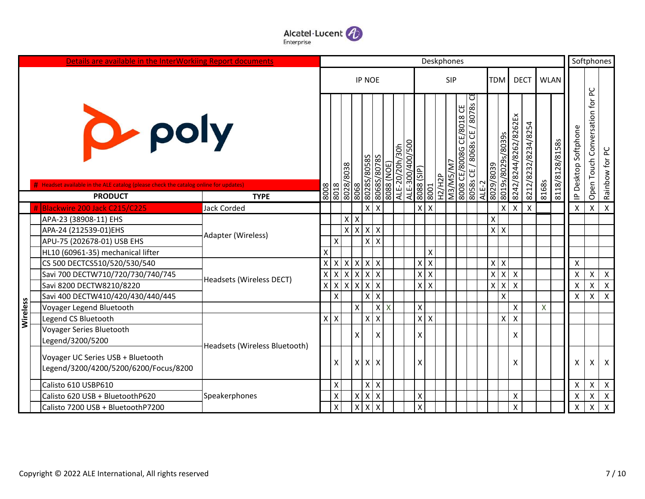

|          | Details are available in the InterWorkiing Report documents                                          |                               | Deskphones     |                        |                         |                                                 |                           |            |                                   |            |                           |                           |                          |                                            |                         |                           |                       | Softphones                |             |                 |                      |                                |                  |
|----------|------------------------------------------------------------------------------------------------------|-------------------------------|----------------|------------------------|-------------------------|-------------------------------------------------|---------------------------|------------|-----------------------------------|------------|---------------------------|---------------------------|--------------------------|--------------------------------------------|-------------------------|---------------------------|-----------------------|---------------------------|-------------|-----------------|----------------------|--------------------------------|------------------|
|          |                                                                                                      |                               |                |                        |                         | <b>IP NOE</b>                                   |                           |            |                                   |            |                           | <b>SIP</b>                |                          |                                            |                         | TDM                       |                       | <b>DECT</b>               | <b>WLAN</b> |                 |                      |                                |                  |
|          | <b>D</b> -poly<br>Headset available in the ALE catalog (please check the catalog online for updates) |                               | 8008           | 8028/8708<br>8028/8038 |                         | 8068<br>8028S/8058S                             | 80685/8788                | 8088 (NOE) | ALE-300/400/500<br>ALE-20/20h/30h | (dIS) 8808 | 8001                      | M3/M5/M7<br><b>dZH/ZH</b> | 8008 CE/8008G CE/8018 CE | / 8078s Ct<br>8068s CE<br>8058s CE<br>ALE- | 8029/8039               | 8019s/8029s/8039s         | 8242/8244/8262/8262Ex | 8212/8232/8234/8254       | 8168s       | 8118/8128/8158s | IP Desktop Softphone | Open Touch Conversation for PC | ص<br>Rainbow for |
|          | <b>PRODUCT</b><br>Blackwire 200 Jack C215/C225                                                       | <b>TYPE</b><br>Jack Corded    |                |                        |                         | X                                               | $\boldsymbol{\mathsf{x}}$ |            |                                   | X          | $\mathsf{X}$              |                           |                          |                                            |                         | X                         | $\mathsf{X}^-$        | $\boldsymbol{\mathsf{X}}$ |             |                 | $\pmb{\times}$       | $\mathsf X$                    | $\mathsf{x}$     |
|          | APA-23 (38908-11) EHS                                                                                |                               |                |                        | $X$ $X$                 |                                                 |                           |            |                                   |            |                           |                           |                          |                                            | X                       |                           |                       |                           |             |                 |                      |                                |                  |
|          | APA-24 (212539-01)EHS                                                                                |                               |                |                        | $\mathsf{x}$            | $\mathsf{X}$<br>$\pmb{\mathsf{X}}$              | $\boldsymbol{\mathsf{X}}$ |            |                                   |            |                           |                           |                          |                                            |                         | $x \mid x$                |                       |                           |             |                 |                      |                                |                  |
|          | APU-75 (202678-01) USB EHS                                                                           | Adapter (Wireless)            |                | X                      |                         | $\mathsf{\overline{X}}$                         | $\mathsf{x}$              |            |                                   |            |                           |                           |                          |                                            |                         |                           |                       |                           |             |                 |                      |                                |                  |
|          | HL10 (60961-35) mechanical lifter                                                                    |                               | Χ              |                        |                         |                                                 |                           |            |                                   |            | X                         |                           |                          |                                            |                         |                           |                       |                           |             |                 |                      |                                |                  |
|          | CS 500 DECTCS510/520/530/540                                                                         |                               | x <sub>1</sub> | $\pmb{\times}$         | $\mathsf{X}$            | $\mathsf{X}$<br>$\pmb{\mathsf{X}}$              | $\pmb{\times}$            |            |                                   | Χ          | $\boldsymbol{\mathsf{X}}$ |                           |                          |                                            |                         | $X$ $X$                   |                       |                           |             |                 | X                    |                                |                  |
|          | Savi 700 DECTW710/720/730/740/745                                                                    |                               |                | x   x   x   x   x      |                         |                                                 | $\mathsf{X}$              |            |                                   | $X$ $X$    |                           |                           |                          |                                            |                         | $x \mid x$                | $\mathsf{X}$          |                           |             |                 | X                    | $\pmb{\times}$                 | $\pmb{\times}$   |
|          | Savi 8200 DECTW8210/8220                                                                             | Headsets (Wireless DECT)      | X              | $\mathsf{X}$           | $\overline{\mathsf{x}}$ | $\pmb{\mathsf{X}}$<br>$\boldsymbol{\mathsf{X}}$ | $\pmb{\mathsf{X}}$        |            |                                   |            | $x \mid x$                |                           |                          |                                            | $\overline{\mathsf{x}}$ | $\boldsymbol{\mathsf{X}}$ | $\mathsf{x}$          |                           |             |                 | X                    | $\pmb{\mathsf{X}}$             | $\pmb{\times}$   |
|          | Savi 400 DECTW410/420/430/440/445                                                                    |                               |                | X                      |                         | X                                               | $\pmb{\times}$            |            |                                   |            |                           |                           |                          |                                            |                         | $\boldsymbol{\mathsf{X}}$ |                       |                           |             |                 | X                    | Χ                              | X                |
| Wireless | Voyager Legend Bluetooth                                                                             |                               |                |                        |                         | $\mathsf{x}$                                    | x                         | $\sf X$    |                                   | Χ          |                           |                           |                          |                                            |                         |                           | X                     |                           | X           |                 |                      |                                |                  |
|          | Legend CS Bluetooth                                                                                  |                               |                | $x \mid x$             |                         | $\pmb{\mathsf{X}}$                              | $\boldsymbol{\mathsf{X}}$ |            |                                   | $X$ $X$    |                           |                           |                          |                                            |                         | X                         | $\mathsf X$           |                           |             |                 |                      |                                |                  |
|          | Voyager Series Bluetooth                                                                             |                               |                |                        |                         | $\mathsf X$                                     | $\mathsf{X}$              |            |                                   | Χ          |                           |                           |                          |                                            |                         |                           | X                     |                           |             |                 |                      |                                |                  |
|          | Legend/3200/5200                                                                                     | Headsets (Wireless Bluetooth) |                |                        |                         |                                                 |                           |            |                                   |            |                           |                           |                          |                                            |                         |                           |                       |                           |             |                 |                      |                                |                  |
|          | Voyager UC Series USB + Bluetooth<br>Legend/3200/4200/5200/6200/Focus/8200                           |                               |                | Χ                      |                         | $\mathsf{X}$<br>$\pmb{\times}$                  | $\pmb{\times}$            |            |                                   | Χ          |                           |                           |                          |                                            |                         |                           | X                     |                           |             |                 | X                    | Χ                              | X                |
|          | Calisto 610 USBP610                                                                                  |                               |                | Χ                      |                         | $\pmb{\mathsf{X}}$                              | $\mathsf{X}$              |            |                                   |            |                           |                           |                          |                                            |                         |                           |                       |                           |             |                 | $\pmb{\mathsf{X}}$   | $\pmb{\mathsf{X}}$             | $\pmb{\times}$   |
|          | Calisto 620 USB + BluetoothP620                                                                      | Speakerphones                 |                | $\pmb{\mathsf{X}}$     |                         | $X$ $X$                                         | $\mathsf{X}$              |            |                                   | X          |                           |                           |                          |                                            |                         |                           | $\pmb{\mathsf{X}}$    |                           |             |                 | X                    | $\pmb{\mathsf{X}}$             | $\pmb{\times}$   |
|          | Calisto 7200 USB + BluetoothP7200                                                                    |                               |                | X                      |                         | $\mathsf{x}$<br>$\boldsymbol{\mathsf{x}}$       | $\pmb{\times}$            |            |                                   | X          |                           |                           |                          |                                            |                         |                           | X                     |                           |             |                 | X                    | $\boldsymbol{\mathsf{X}}$      | $\mathsf{x}$     |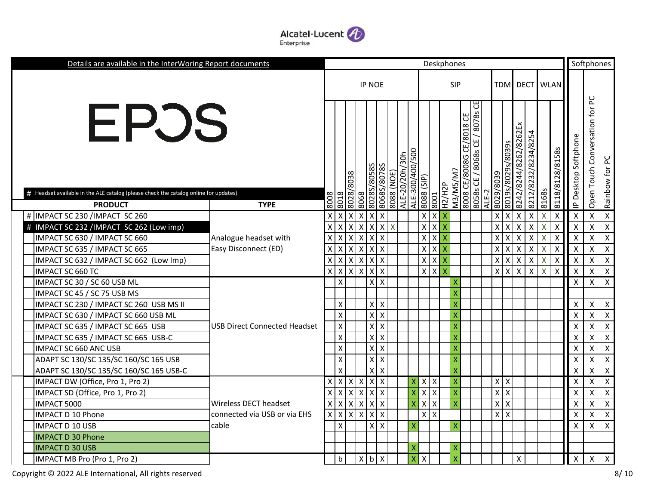

| Details are available in the InterWoring Report documents                                    |                                     |      |                           |                           |                                             |                           |            |                |                                   |                                                 | Deskphones                |                           |                                                               |       |                    |                    |                           |                    |                           |                           |                           | Softphones                          |                           |
|----------------------------------------------------------------------------------------------|-------------------------------------|------|---------------------------|---------------------------|---------------------------------------------|---------------------------|------------|----------------|-----------------------------------|-------------------------------------------------|---------------------------|---------------------------|---------------------------------------------------------------|-------|--------------------|--------------------|---------------------------|--------------------|---------------------------|---------------------------|---------------------------|-------------------------------------|---------------------------|
|                                                                                              |                                     |      |                           |                           | <b>IP NOE</b>                               |                           |            |                |                                   |                                                 |                           | <b>SIP</b>                |                                                               |       |                    |                    |                           |                    | TDM DECT WLAN             |                           |                           |                                     |                           |
| EPOS<br># Headset available in the ALE catalog (please check the catalog online for updates) |                                     |      |                           | 8038                      | <b>780585</b>                               | 80685/80785               | 8088 (NOE) | ALE-20/20h/30h | 500<br>ALE-300/400/<br>(dIS) 8808 |                                                 | H2/H2P                    | M3/M5/M7                  | ਰ<br>8708<br>8008 CE/8008G CE/8018 CE<br>8068s CE<br>8058s CE |       | 8029/8039          | 8019s/8029s/8039s  | 8242/8244/8262/8262Ex     | 8232/8234/8254     |                           | 8118/8128/8158s           | Softphone<br>P Desktop    | ں<br>2<br>Conversation for<br>Touch | pC<br>Rainbow for         |
| <b>PRODUCT</b>                                                                               | <b>TYPE</b>                         | 8008 | 8018                      | /8708                     | 8028S/<br>8068                              |                           |            |                |                                   | 8001                                            |                           |                           |                                                               | ALE-2 |                    |                    |                           | 8212/              | 8168s                     |                           |                           | Open                                |                           |
| # IMPACT SC 230 /IMPACT SC 260                                                               |                                     |      | X                         | X                         | $\pmb{\times}$<br>$\boldsymbol{\mathsf{X}}$ | х                         |            |                |                                   | $\mathsf{X}$<br>X                               | X                         |                           |                                                               |       | X                  | $\mathsf{X}$       | X                         | Χ                  | X                         | Χ                         | х                         | $\pmb{\mathsf{X}}$                  | $\boldsymbol{X}$          |
| # IMPACT SC 232 /IMPACT SC 262 (Low imp)                                                     |                                     |      | X                         | X                         | $\mathsf{x}$<br>$\pmb{\times}$              | Χ                         | X          |                |                                   | $\boldsymbol{\mathsf{x}}$<br>$\pmb{\mathsf{X}}$ | $\boldsymbol{\mathsf{x}}$ |                           |                                                               |       | X                  | X                  | X                         | X                  | $\boldsymbol{\mathsf{X}}$ | $\boldsymbol{\mathsf{X}}$ | $\boldsymbol{\mathsf{X}}$ | $\pmb{\mathsf{X}}$                  | $\mathsf{X}$              |
| IMPACT SC 630 / IMPACT SC 660                                                                | Analogue headset with               |      | X                         | X                         | X<br>$\mathsf{X}$                           | х                         |            |                |                                   | $\mathsf{X}$<br>$\pmb{\mathsf{X}}$              | $\boldsymbol{\mathsf{X}}$ |                           |                                                               |       | Χ                  | X                  | $\boldsymbol{\mathsf{X}}$ | $\pmb{\mathsf{X}}$ | $\sf X$                   | $\boldsymbol{\mathsf{X}}$ | $\boldsymbol{\mathsf{X}}$ | $\pmb{\mathsf{X}}$                  | $\boldsymbol{\mathsf{X}}$ |
| IMPACT SC 635 / IMPACT SC 665                                                                | Easy Disconnect (ED)                |      | X                         | X                         | $\mathsf{X}$<br>$\mathsf{X}$                | $\boldsymbol{\mathsf{x}}$ |            |                |                                   | $X$ $X$                                         | $\mathsf{X}$              |                           |                                                               |       | X                  | $\mathsf{X}$       | $\boldsymbol{\mathsf{X}}$ | $\pmb{\mathsf{X}}$ | $\sf X$                   | Χ                         | $\boldsymbol{\mathsf{X}}$ | $\pmb{\mathsf{X}}$                  | $\mathsf{X}$              |
| IMPACT SC 632 / IMPACT SC 662 (Low Imp)                                                      |                                     |      | X                         | X                         | $\mathsf{X}$                                | $x \mid x$                |            |                |                                   | $x \mid x$                                      | $\mathsf{X}$              |                           |                                                               |       | X                  | x                  | $\boldsymbol{\mathsf{X}}$ | $\pmb{\times}$     | X                         | X                         | $\boldsymbol{\mathsf{X}}$ | $\pmb{\mathsf{X}}$                  | $\mathsf{X}$              |
| IMPACT SC 660 TC                                                                             |                                     |      | $\boldsymbol{\mathsf{X}}$ | X                         | $\pmb{\times}$<br>$\mathsf{x}$              | $\boldsymbol{\mathsf{x}}$ |            |                |                                   | $x \mid x$                                      | $\overline{X}$            |                           |                                                               |       | $\pmb{\mathsf{X}}$ | $\mathsf X$        | $\boldsymbol{\mathsf{X}}$ | $\pmb{\mathsf{X}}$ | X                         | X                         | X                         | $\pmb{\mathsf{X}}$                  | $\boldsymbol{X}$          |
| IMPACT SC 30 / SC 60 USB ML                                                                  |                                     |      | $\pmb{\times}$            |                           |                                             | $X$ $X$                   |            |                |                                   |                                                 |                           | х                         |                                                               |       |                    |                    |                           |                    |                           |                           | X                         | X                                   | $\mathsf{X}$              |
| IMPACT SC 45 / SC 75 USB MS                                                                  |                                     |      |                           |                           |                                             |                           |            |                |                                   |                                                 |                           | X                         |                                                               |       |                    |                    |                           |                    |                           |                           |                           |                                     |                           |
| IMPACT SC 230 / IMPACT SC 260 USB MS II                                                      |                                     |      | $\pmb{\times}$            |                           |                                             | $X$ $X$                   |            |                |                                   |                                                 |                           | X                         |                                                               |       |                    |                    |                           |                    |                           |                           | X                         | X                                   | $\mathsf{X}$              |
| IMPACT SC 630 / IMPACT SC 660 USB ML                                                         |                                     |      | $\pmb{\mathsf{X}}$        |                           |                                             | $X$ $X$                   |            |                |                                   |                                                 |                           | $\boldsymbol{\mathsf{X}}$ |                                                               |       |                    |                    |                           |                    |                           |                           | X                         | $\mathsf{x}$                        | $\mathsf{X}$              |
| IMPACT SC 635 / IMPACT SC 665 USB                                                            | <b>USB Direct Connected Headset</b> |      | $\pmb{\times}$            |                           |                                             | $x \mid x$                |            |                |                                   |                                                 |                           | $\mathsf{X}$              |                                                               |       |                    |                    |                           |                    |                           |                           | X                         | X                                   | $\mathsf{X}$              |
| IMPACT SC 635 / IMPACT SC 665 USB-C                                                          |                                     |      | $\pmb{\mathsf{X}}$        |                           |                                             | $X$ $X$                   |            |                |                                   |                                                 |                           | $\boldsymbol{\mathsf{X}}$ |                                                               |       |                    |                    |                           |                    |                           |                           | X                         | X                                   | $\mathsf{X}$              |
| IMPACT SC 660 ANC USB                                                                        |                                     |      | $\pmb{\mathsf{X}}$        |                           |                                             | $X$ $X$                   |            |                |                                   |                                                 |                           | $\boldsymbol{\mathsf{X}}$ |                                                               |       |                    |                    |                           |                    |                           |                           | X                         | X                                   | $\mathsf{X}$              |
| ADAPT SC 130/SC 135/SC 160/SC 165 USB                                                        |                                     |      | $\pmb{\mathsf{X}}$        |                           |                                             | $X$ $X$                   |            |                |                                   |                                                 |                           | $\boldsymbol{\mathsf{X}}$ |                                                               |       |                    |                    |                           |                    |                           |                           | X                         | X                                   | $\mathsf{X}$              |
| ADAPT SC 130/SC 135/SC 160/SC 165 USB-C                                                      |                                     |      | $\pmb{\chi}$              |                           |                                             | $X$ $X$                   |            |                |                                   |                                                 |                           | $\mathsf{X}$              |                                                               |       |                    |                    |                           |                    |                           |                           | X                         | $\pmb{\mathsf{X}}$                  | $\mathsf{X}$              |
| IMPACT DW (Office, Pro 1, Pro 2)                                                             |                                     |      | $\mathsf{X}$              | $\mathsf{X}$              | X                                           | $X$ $X$                   |            |                | Χ                                 | $X$ $X$                                         |                           | $\boldsymbol{\mathsf{X}}$ |                                                               |       | X                  | $\pmb{\mathsf{X}}$ |                           |                    |                           |                           | х                         | X                                   | $\mathsf{X}$              |
| IMPACT SD (Office, Pro 1, Pro 2)                                                             |                                     |      | $\mathsf{X}$              | $\boldsymbol{\mathsf{X}}$ | $\mathsf{X}$                                | $X$ $X$                   |            |                | X                                 | $X$ $X$                                         |                           | $\mathsf{X}$              |                                                               |       | $\pmb{\times}$     | $\mathsf X$        |                           |                    |                           |                           | X                         | $\pmb{\mathsf{X}}$                  | $\mathsf{X}$              |
| IMPACT 5000                                                                                  | Wireless DECT headset               | х    | $\mathsf{X}$              | $\boldsymbol{\mathsf{X}}$ | $\overline{\mathsf{x}}$                     | $X$ $X$                   |            |                | X                                 | $X$ $X$                                         |                           | $\mathsf{X}$              |                                                               |       | $\pmb{\times}$     | $\mathsf X$        |                           |                    |                           |                           | X                         | $\pmb{\mathsf{X}}$                  | $\mathsf{X}$              |
| <b>IMPACT D 10 Phone</b>                                                                     | connected via USB or via EHS        | X    | $\mathsf{X}$              | $\boldsymbol{\mathsf{x}}$ | $\overline{\mathsf{x}}$                     | $X$ $X$                   |            |                |                                   | $x \mid x$                                      |                           |                           |                                                               |       | $\pmb{\times}$     | $\pmb{\times}$     |                           |                    |                           |                           | X                         | X                                   | $\mathsf{X}$              |
| <b>IMPACT D 10 USB</b>                                                                       | cable                               |      | $\pmb{\times}$            |                           |                                             | $x \mid x$                |            |                | X                                 |                                                 |                           | $\boldsymbol{\mathsf{X}}$ |                                                               |       |                    |                    |                           |                    |                           |                           | X                         | $\pmb{\mathsf{X}}$                  | $\mathsf{X}$              |
| <b>IMPACT D 30 Phone</b>                                                                     |                                     |      |                           |                           |                                             |                           |            |                |                                   |                                                 |                           |                           |                                                               |       |                    |                    |                           |                    |                           |                           |                           |                                     |                           |
| <b>IMPACT D 30 USB</b>                                                                       |                                     |      |                           |                           |                                             |                           |            |                | X                                 |                                                 |                           | $\boldsymbol{\mathsf{X}}$ |                                                               |       |                    |                    |                           |                    |                           |                           |                           |                                     |                           |
| IMPACT MB Pro (Pro 1, Pro 2)                                                                 |                                     |      | $\mathbf b$               |                           | $\mathsf{X}$                                | $b \mid X$                |            |                | X<br>X                            |                                                 |                           |                           |                                                               |       |                    |                    | X                         |                    |                           |                           | X                         | X                                   | $\mathsf{x}$              |

Copyright © 2022 ALE International, All rights reserved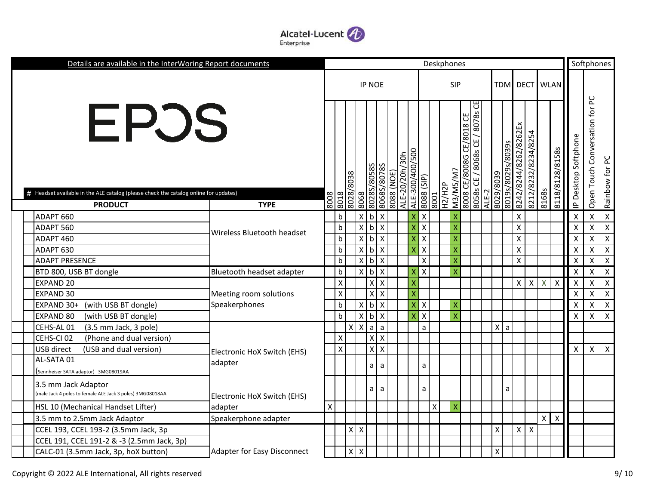

| Details are available in the InterWoring Report documents                                              |                                    |                    |                    |            |                             |                                |            |                |                 |                    |               | Deskphones              |                          |                                      |              |                   |                       |                     |                           |                           |                           | Softphones                   |                           |
|--------------------------------------------------------------------------------------------------------|------------------------------------|--------------------|--------------------|------------|-----------------------------|--------------------------------|------------|----------------|-----------------|--------------------|---------------|-------------------------|--------------------------|--------------------------------------|--------------|-------------------|-----------------------|---------------------|---------------------------|---------------------------|---------------------------|------------------------------|---------------------------|
|                                                                                                        |                                    |                    |                    |            | <b>IP NOE</b>               |                                |            |                |                 |                    |               | SIP                     |                          |                                      |              | TDM               |                       |                     | <b>DECT</b> WLAN          |                           |                           |                              |                           |
| EPOS                                                                                                   |                                    |                    |                    | 8028/8038  | 80285/80585                 | 8068S/8078S                    | 8088 (NOE) | ALE-20/20h/30h | ALE-300/400/500 | (dIS) 8808         |               | M3/M5/M7                | 8008 CE/8008G CE/8018 CE | CE<br>/ 8078s<br>8058s CE / 8068s CE | 6208/6208    | 8019s/8029s/8039s | 8242/8244/8262/8262Ex | 8212/8232/8234/8254 |                           | 8118/8128/8158s           | Softphone<br>Desktop:     | Conversation for PC<br>Touch | Rainbow for PC            |
| # Headset available in the ALE catalog (please check the catalog online for updates)<br><b>PRODUCT</b> | <b>TYPE</b>                        | 8008               | 8018               |            | 8068                        |                                |            |                |                 | 8001               | <b>H2/H2P</b> |                         |                          |                                      | ALE-2        |                   |                       |                     | 8168s                     |                           | $\Delta$                  | Open <sup>-</sup>            |                           |
| ADAPT 660                                                                                              |                                    |                    | $\mathsf b$        |            | $X$ b                       | $\boldsymbol{\mathsf{x}}$      |            |                | Χ               | X                  |               | χ                       |                          |                                      |              |                   | $\pmb{\mathsf{X}}$    |                     |                           |                           | X                         | $\pmb{\mathsf{X}}$           | $\mathsf{X}$              |
| ADAPT 560                                                                                              |                                    |                    | $\sf b$            |            | x<br>$\mathsf{b}$           | $\pmb{\mathsf{X}}$             |            |                | X               | $\pmb{\times}$     |               | $\overline{\mathsf{x}}$ |                          |                                      |              |                   | $\pmb{\mathsf{X}}$    |                     |                           |                           | X                         | $\pmb{\mathsf{X}}$           | $\boldsymbol{\mathsf{X}}$ |
| ADAPT 460                                                                                              | Wireless Bluetooth headset         |                    | $\mathsf b$        |            | $X$ $b$                     | $\overline{X}$                 |            |                | X               | $\pmb{\times}$     |               | $\overline{\mathsf{x}}$ |                          |                                      |              |                   | $\pmb{\mathsf{X}}$    |                     |                           |                           | X                         | $\pmb{\chi}$                 | $\mathsf{X}$              |
| ADAPT 630                                                                                              |                                    |                    | $\sf b$            |            | $\mathsf{X}$<br>$\mathsf b$ | $\pmb{\times}$                 |            |                | X               | $\pmb{\times}$     |               | X                       |                          |                                      |              |                   | $\pmb{\mathsf{X}}$    |                     |                           |                           | X                         | $\pmb{\mathsf{X}}$           | $\mathsf{X}$              |
| <b>ADAPT PRESENCE</b>                                                                                  |                                    |                    | $\mathsf b$        |            | $\mathsf{X}$<br>$\mathsf b$ | $\mathsf{X}$                   |            |                |                 | $\pmb{\mathsf{X}}$ |               | X                       |                          |                                      |              |                   | $\pmb{\mathsf{X}}$    |                     |                           |                           | X                         | $\pmb{\chi}$                 | $\mathsf{X}$              |
| BTD 800, USB BT dongle                                                                                 | Bluetooth headset adapter          |                    | $\mathsf b$        |            | $\times$<br>$\mathsf{b}$    | $\pmb{\times}$                 |            |                | х               | $\pmb{\times}$     |               | Χ                       |                          |                                      |              |                   |                       |                     |                           |                           | X                         | $\mathsf{\chi}$              | $\mathsf{X}$              |
| EXPAND 20                                                                                              |                                    |                    | $\pmb{\mathsf{X}}$ |            |                             | $x \mid x$                     |            |                | X               |                    |               |                         |                          |                                      |              |                   | $\mathsf{X}$          | $\mathsf{X}$        | $\boldsymbol{\mathsf{X}}$ | X                         | X                         | $\pmb{\mathsf{X}}$           | $\mathsf{X}$              |
| EXPAND 30                                                                                              | Meeting room solutions             |                    | $\pmb{\mathsf{X}}$ |            | $\overline{X}$              | X                              |            |                | X               |                    |               |                         |                          |                                      |              |                   |                       |                     |                           |                           | X                         | Χ                            | $\boldsymbol{\mathsf{X}}$ |
| EXPAND 30+<br>(with USB BT dongle)                                                                     | Speakerphones                      |                    | $\sf b$            |            | X<br>$\mathsf b$            | $\boldsymbol{\mathsf{X}}$      |            |                | X               | X                  |               | X                       |                          |                                      |              |                   |                       |                     |                           |                           | X                         | $\pmb{\mathsf{X}}$           | $\mathsf{X}$              |
| EXPAND 80<br>(with USB BT dongle)                                                                      |                                    |                    | $\mathsf b$        |            | X<br>b                      | $\boldsymbol{\mathsf{X}}$      |            |                | X               | X                  |               | X                       |                          |                                      |              |                   |                       |                     |                           |                           | X                         | $\pmb{\mathsf{X}}$           | $\boldsymbol{\mathsf{X}}$ |
| CEHS-AL 01<br>(3.5 mm Jack, 3 pole)                                                                    |                                    |                    |                    | $x \mid x$ | a                           | $\mathsf{a}$                   |            |                |                 | a                  |               |                         |                          |                                      | $\mathsf{X}$ | a                 |                       |                     |                           |                           |                           |                              |                           |
| CEHS-CI 02<br>(Phone and dual version)                                                                 |                                    |                    | $\pmb{\times}$     |            |                             | $x \mid x$                     |            |                |                 |                    |               |                         |                          |                                      |              |                   |                       |                     |                           |                           |                           |                              |                           |
| USB direct<br>(USB and dual version)                                                                   | Electronic HoX Switch (EHS)        |                    | $\mathsf{\chi}$    |            |                             | x<br>$\boldsymbol{\mathsf{X}}$ |            |                |                 |                    |               |                         |                          |                                      |              |                   |                       |                     |                           |                           | $\boldsymbol{\mathsf{X}}$ | $\pmb{\times}$               | $\boldsymbol{\mathsf{X}}$ |
| AL-SATA 01                                                                                             | adapter                            |                    |                    |            |                             | a<br>a                         |            |                |                 | a                  |               |                         |                          |                                      |              |                   |                       |                     |                           |                           |                           |                              |                           |
| Sennheiser SATA adaptor) 3MG08019AA                                                                    |                                    |                    |                    |            |                             |                                |            |                |                 |                    |               |                         |                          |                                      |              |                   |                       |                     |                           |                           |                           |                              |                           |
| 3.5 mm Jack Adaptor<br>(male Jack 4 poles to female ALE Jack 3 poles) 3MG08018AA                       | Electronic HoX Switch (EHS)        |                    |                    |            |                             | $a \mid a$                     |            |                |                 | a                  |               |                         |                          |                                      |              | a                 |                       |                     |                           |                           |                           |                              |                           |
| HSL 10 (Mechanical Handset Lifter)                                                                     | adapter                            | $\pmb{\mathsf{X}}$ |                    |            |                             |                                |            |                |                 | $\mathsf X$        |               | X                       |                          |                                      |              |                   |                       |                     |                           |                           |                           |                              |                           |
| 3.5 mm to 2.5mm Jack Adaptor                                                                           | Speakerphone adapter               |                    |                    |            |                             |                                |            |                |                 |                    |               |                         |                          |                                      |              |                   |                       |                     | X                         | $\boldsymbol{\mathsf{X}}$ |                           |                              |                           |
| CCEL 193, CCEL 193-2 (3.5mm Jack, 3p                                                                   |                                    |                    |                    | $x \mid x$ |                             |                                |            |                |                 |                    |               |                         |                          |                                      | Χ            |                   | $\mathsf{X}$          | $\pmb{\times}$      |                           |                           |                           |                              |                           |
| CCEL 191, CCEL 191-2 & -3 (2.5mm Jack, 3p)                                                             |                                    |                    |                    |            |                             |                                |            |                |                 |                    |               |                         |                          |                                      |              |                   |                       |                     |                           |                           |                           |                              |                           |
| CALC-01 (3.5mm Jack, 3p, hoX button)                                                                   | <b>Adapter for Easy Disconnect</b> |                    |                    | $x \mid x$ |                             |                                |            |                |                 |                    |               |                         |                          |                                      | Χ            |                   |                       |                     |                           |                           |                           |                              |                           |